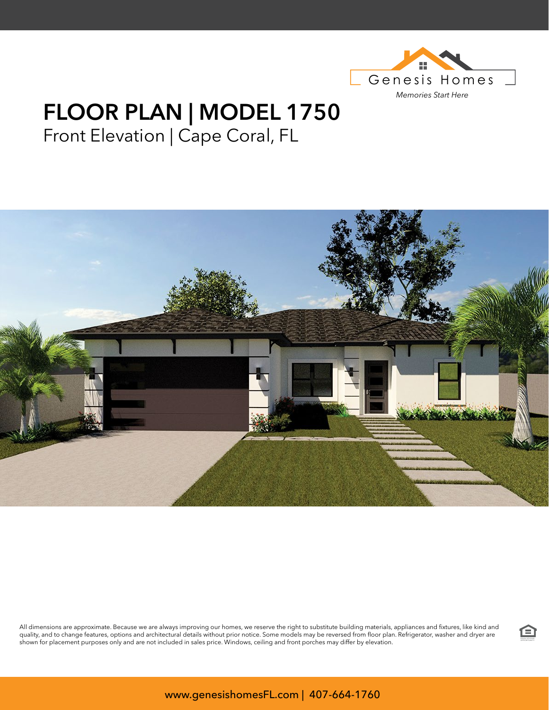

## **FLOOR PLAN | MODEL 1750** Front Elevation | Cape Coral, FL



All dimensions are approximate. Because we are always improving our homes, we reserve the right to substitute building materials, appliances and fixtures, like kind and quality, and to change features, options and architectural details without prior notice. Some models may be reversed from floor plan. Refrigerator, washer and dryer are we we we all the state without prior and the state wi